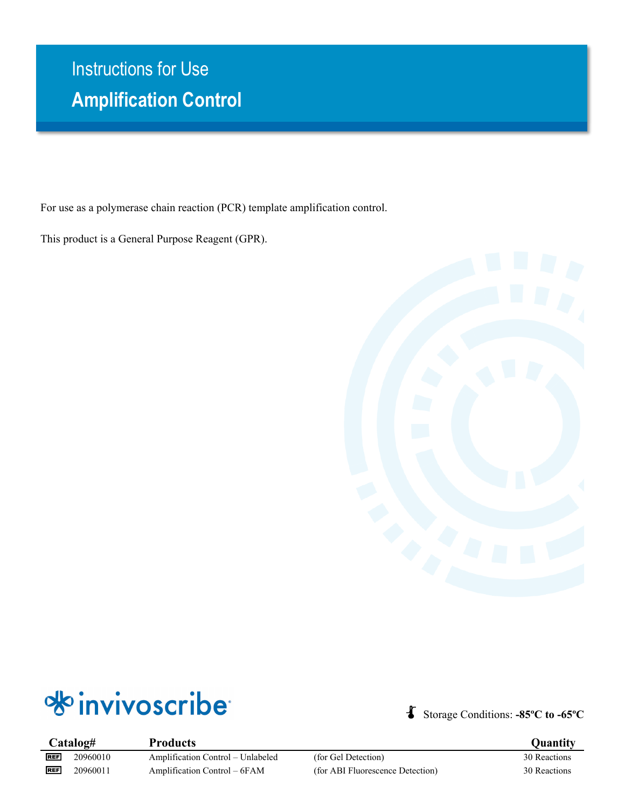# • **Amplification Control** Instructions for Use

For use as a polymerase chain reaction (PCR) template amplification control.

This product is a General Purpose Reagent (GPR).





Storage Conditions: **-85ºC to -65ºC**

**Catalog# Products Quantity REF REF** 

20960010 Amplification Control – Unlabeled (for Gel Detection) 30 Reactions 20960011 Amplification Control – 6FAM (for ABI Fluorescence Detection) 30 Reactions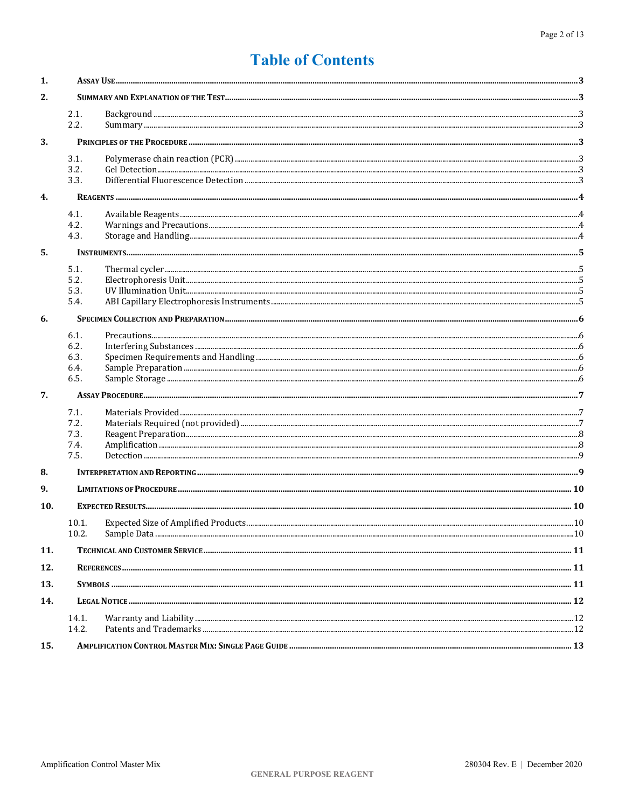## **Table of Contents**

| 1.  |       |  |  |  |  |  |
|-----|-------|--|--|--|--|--|
| 2.  |       |  |  |  |  |  |
|     | 2.1.  |  |  |  |  |  |
|     | 2.2.  |  |  |  |  |  |
| 3.  |       |  |  |  |  |  |
|     | 3.1.  |  |  |  |  |  |
|     | 3.2.  |  |  |  |  |  |
|     | 3.3.  |  |  |  |  |  |
| 4.  |       |  |  |  |  |  |
|     | 4.1.  |  |  |  |  |  |
|     | 4.2.  |  |  |  |  |  |
|     | 4.3.  |  |  |  |  |  |
| 5.  |       |  |  |  |  |  |
|     | 5.1.  |  |  |  |  |  |
|     | 5.2.  |  |  |  |  |  |
|     | 5.3.  |  |  |  |  |  |
|     | 5.4.  |  |  |  |  |  |
| 6.  |       |  |  |  |  |  |
|     | 6.1.  |  |  |  |  |  |
|     | 6.2.  |  |  |  |  |  |
|     | 6.3.  |  |  |  |  |  |
|     | 6.4.  |  |  |  |  |  |
|     | 6.5.  |  |  |  |  |  |
| 7.  |       |  |  |  |  |  |
|     | 7.1.  |  |  |  |  |  |
|     | 7.2.  |  |  |  |  |  |
|     | 7.3.  |  |  |  |  |  |
|     | 7.4.  |  |  |  |  |  |
|     | 7.5.  |  |  |  |  |  |
| 8.  |       |  |  |  |  |  |
| 9.  |       |  |  |  |  |  |
| 10. |       |  |  |  |  |  |
|     | 10.1. |  |  |  |  |  |
|     | 10.2. |  |  |  |  |  |
| 11. |       |  |  |  |  |  |
| 12. |       |  |  |  |  |  |
| 13. |       |  |  |  |  |  |
| 14. |       |  |  |  |  |  |
|     | 14.1. |  |  |  |  |  |
|     | 14.2. |  |  |  |  |  |
| 15. |       |  |  |  |  |  |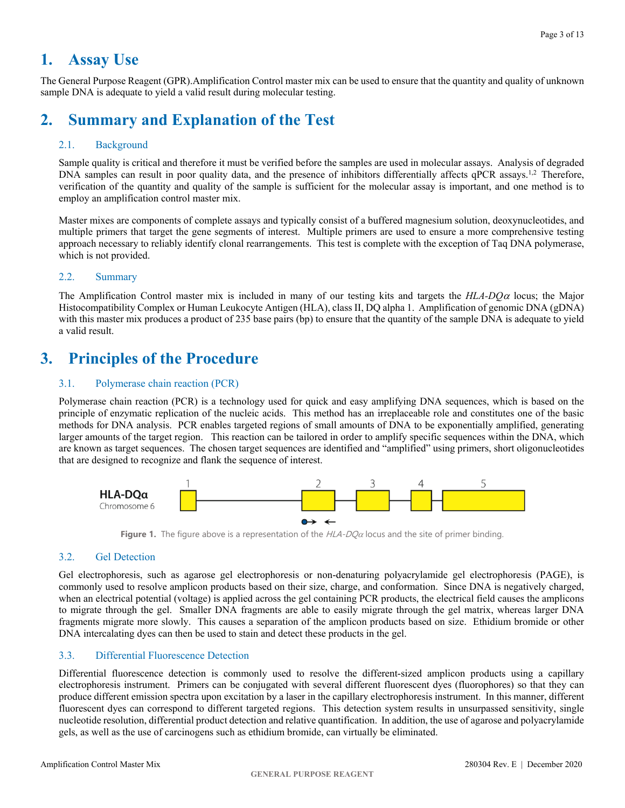## <span id="page-2-0"></span>**1. Assay Use**

The General Purpose Reagent (GPR).Amplification Control master mix can be used to ensure that the quantity and quality of unknown sample DNA is adequate to yield a valid result during molecular testing.

## <span id="page-2-1"></span>**2. Summary and Explanation of the Test**

## <span id="page-2-2"></span>2.1. Background

Sample quality is critical and therefore it must be verified before the samples are used in molecular assays. Analysis of degraded DNA samples can result in poor quality data, and the presence of inhibitors differentially affects qPCR assays.<sup>1,2</sup> Therefore, verification of the quantity and quality of the sample is sufficient for the molecular assay is important, and one method is to employ an amplification control master mix.

Master mixes are components of complete assays and typically consist of a buffered magnesium solution, deoxynucleotides, and multiple primers that target the gene segments of interest. Multiple primers are used to ensure a more comprehensive testing approach necessary to reliably identify clonal rearrangements. This test is complete with the exception of Taq DNA polymerase, which is not provided.

## <span id="page-2-3"></span>2.2. Summary

The Amplification Control master mix is included in many of our testing kits and targets the *HLA-DQ*<sup>α</sup> locus; the Major Histocompatibility Complex or Human Leukocyte Antigen (HLA), class II, DQ alpha 1. Amplification of genomic DNA (gDNA) with this master mix produces a product of 235 base pairs (bp) to ensure that the quantity of the sample DNA is adequate to yield a valid result.

## <span id="page-2-4"></span>**3. Principles of the Procedure**

## <span id="page-2-5"></span>3.1. Polymerase chain reaction (PCR)

Polymerase chain reaction (PCR) is a technology used for quick and easy amplifying DNA sequences, which is based on the principle of enzymatic replication of the nucleic acids. This method has an irreplaceable role and constitutes one of the basic methods for DNA analysis. PCR enables targeted regions of small amounts of DNA to be exponentially amplified, generating larger amounts of the target region. This reaction can be tailored in order to amplify specific sequences within the DNA, which are known as target sequences. The chosen target sequences are identified and "amplified" using primers, short oligonucleotides that are designed to recognize and flank the sequence of interest.



**Figure 1.** The figure above is a representation of the HLA-DO<sub>a</sub> locus and the site of primer binding.

## <span id="page-2-6"></span>3.2. Gel Detection

Gel electrophoresis, such as agarose gel electrophoresis or non-denaturing polyacrylamide gel electrophoresis (PAGE), is commonly used to resolve amplicon products based on their size, charge, and conformation. Since DNA is negatively charged, when an electrical potential (voltage) is applied across the gel containing PCR products, the electrical field causes the amplicons to migrate through the gel. Smaller DNA fragments are able to easily migrate through the gel matrix, whereas larger DNA fragments migrate more slowly. This causes a separation of the amplicon products based on size. Ethidium bromide or other DNA intercalating dyes can then be used to stain and detect these products in the gel.

## <span id="page-2-7"></span>3.3. Differential Fluorescence Detection

Differential fluorescence detection is commonly used to resolve the different-sized amplicon products using a capillary electrophoresis instrument. Primers can be conjugated with several different fluorescent dyes (fluorophores) so that they can produce different emission spectra upon excitation by a laser in the capillary electrophoresis instrument. In this manner, different fluorescent dyes can correspond to different targeted regions. This detection system results in unsurpassed sensitivity, single nucleotide resolution, differential product detection and relative quantification. In addition, the use of agarose and polyacrylamide gels, as well as the use of carcinogens such as ethidium bromide, can virtually be eliminated.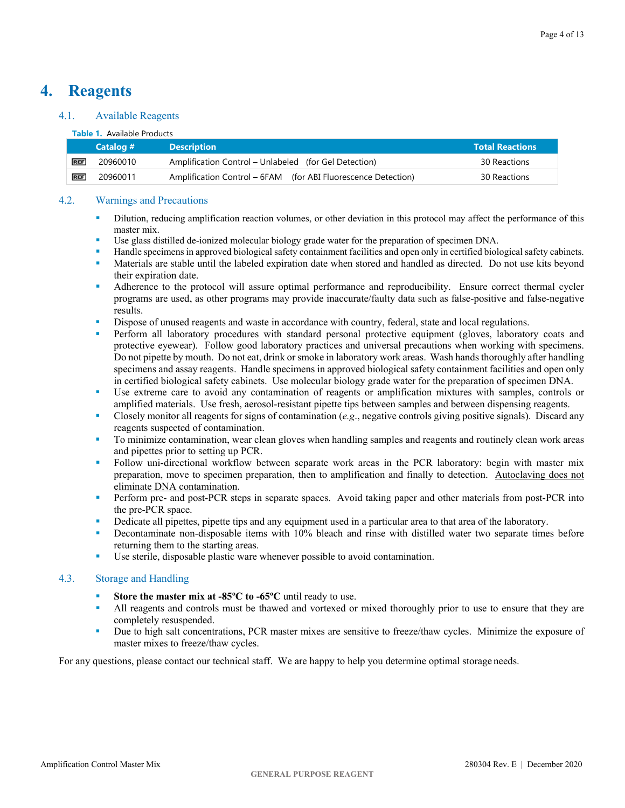## <span id="page-3-0"></span>**4. Reagents**

## <span id="page-3-1"></span>4.1. Available Reagents

### **Table 1.** Available Products

|            | Catalog # | <b>Description</b>                                            | <b>Total Reactions</b> |
|------------|-----------|---------------------------------------------------------------|------------------------|
| <b>REF</b> | 20960010  | Amplification Control – Unlabeled (for Gel Detection)         | 30 Reactions           |
| <b>REF</b> | 20960011  | Amplification Control – 6FAM (for ABI Fluorescence Detection) | 30 Reactions           |

### <span id="page-3-2"></span>4.2. Warnings and Precautions

- Dilution, reducing amplification reaction volumes, or other deviation in this protocol may affect the performance of this master mix.
- Use glass distilled de-ionized molecular biology grade water for the preparation of specimen DNA.
- Handle specimens in approved biological safety containment facilities and open only in certified biological safety cabinets.
- Materials are stable until the labeled expiration date when stored and handled as directed. Do not use kits beyond their expiration date.
- Adherence to the protocol will assure optimal performance and reproducibility. Ensure correct thermal cycler programs are used, as other programs may provide inaccurate/faulty data such as false-positive and false-negative results.
- Dispose of unused reagents and waste in accordance with country, federal, state and local regulations.
- **Perform all laboratory procedures with standard personal protective equipment (gloves, laboratory coats and** protective eyewear). Follow good laboratory practices and universal precautions when working with specimens. Do not pipette by mouth. Do not eat, drink or smoke in laboratory work areas. Wash hands thoroughly after handling specimens and assay reagents. Handle specimens in approved biological safety containment facilities and open only in certified biological safety cabinets. Use molecular biology grade water for the preparation of specimen DNA.
- Use extreme care to avoid any contamination of reagents or amplification mixtures with samples, controls or amplified materials. Use fresh, aerosol-resistant pipette tips between samples and between dispensing reagents.
- Closely monitor all reagents for signs of contamination (*e.g*., negative controls giving positive signals). Discard any reagents suspected of contamination.
- To minimize contamination, wear clean gloves when handling samples and reagents and routinely clean work areas and pipettes prior to setting up PCR.
- Follow uni-directional workflow between separate work areas in the PCR laboratory: begin with master mix preparation, move to specimen preparation, then to amplification and finally to detection. Autoclaving does not eliminate DNA contamination.
- **Perform pre- and post-PCR steps in separate spaces.** Avoid taking paper and other materials from post-PCR into the pre-PCR space.
- Dedicate all pipettes, pipette tips and any equipment used in a particular area to that area of the laboratory.
- Decontaminate non-disposable items with 10% bleach and rinse with distilled water two separate times before returning them to the starting areas.
- Use sterile, disposable plastic ware whenever possible to avoid contamination.

## <span id="page-3-3"></span>4.3. Storage and Handling

- **Store the master mix at -85ºC to -65ºC** until ready to use.
- In All reagents and controls must be thawed and vortexed or mixed thoroughly prior to use to ensure that they are completely resuspended.
- Due to high salt concentrations, PCR master mixes are sensitive to freeze/thaw cycles. Minimize the exposure of master mixes to freeze/thaw cycles.

For any questions, please contact our technical staff. We are happy to help you determine optimal storage needs.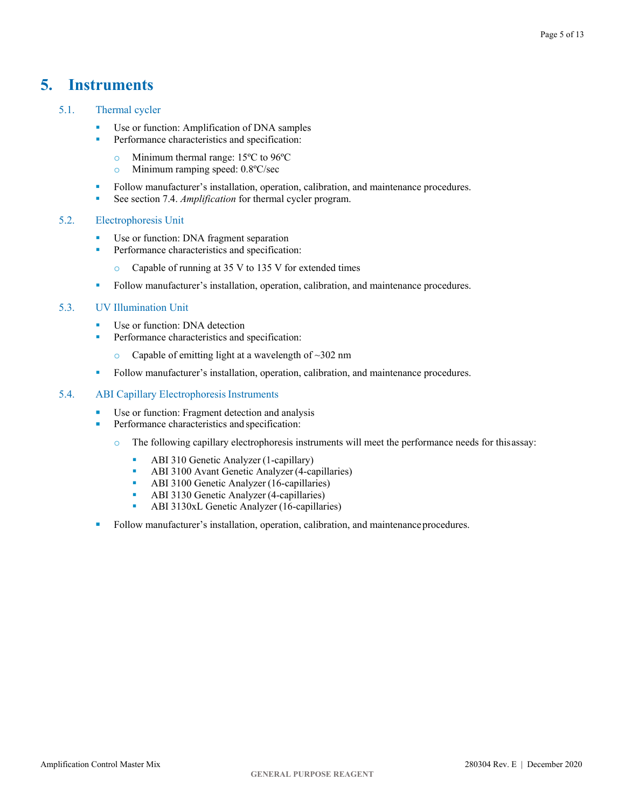## <span id="page-4-0"></span>**5. Instruments**

## <span id="page-4-1"></span>5.1. Thermal cycler

- Use or function: Amplification of DNA samples
- **Performance characteristics and specification:** 
	- Minimum thermal range:  $15^{\circ}$ C to  $96^{\circ}$ C<br>• Minimum ramping speed:  $0.8^{\circ}$ C/sec
	- Minimum ramping speed: 0.8°C/sec
- Follow manufacturer's installation, operation, calibration, and maintenance procedures.
- See section 7.4. *[Amplification](#page-7-2)* for thermal cycler program.

## <span id="page-4-2"></span>5.2. Electrophoresis Unit

- Use or function: DNA fragment separation
- **Performance characteristics and specification:** 
	- o Capable of running at 35 V to 135 V for extended times
- Follow manufacturer's installation, operation, calibration, and maintenance procedures.

### <span id="page-4-3"></span>5.3. UV Illumination Unit

- Use or function: DNA detection
- **Performance characteristics and specification:** 
	- $\degree$  Capable of emitting light at a wavelength of  $\sim$ 302 nm
- Follow manufacturer's installation, operation, calibration, and maintenance procedures.

## <span id="page-4-4"></span>5.4. ABI Capillary Electrophoresis Instruments

- **Use or function: Fragment detection and analysis**
- **Performance characteristics and specification:** 
	- o The following capillary electrophoresis instruments will meet the performance needs for thisassay:
		- **ABI 310 Genetic Analyzer (1-capillary)**
		- ABI 3100 Avant Genetic Analyzer (4-capillaries)
		- **ABI 3100 Genetic Analyzer (16-capillaries)**
		- **ABI 3130 Genetic Analyzer (4-capillaries)**
		- ABI 3130xL Genetic Analyzer (16-capillaries)
- Follow manufacturer's installation, operation, calibration, and maintenance procedures.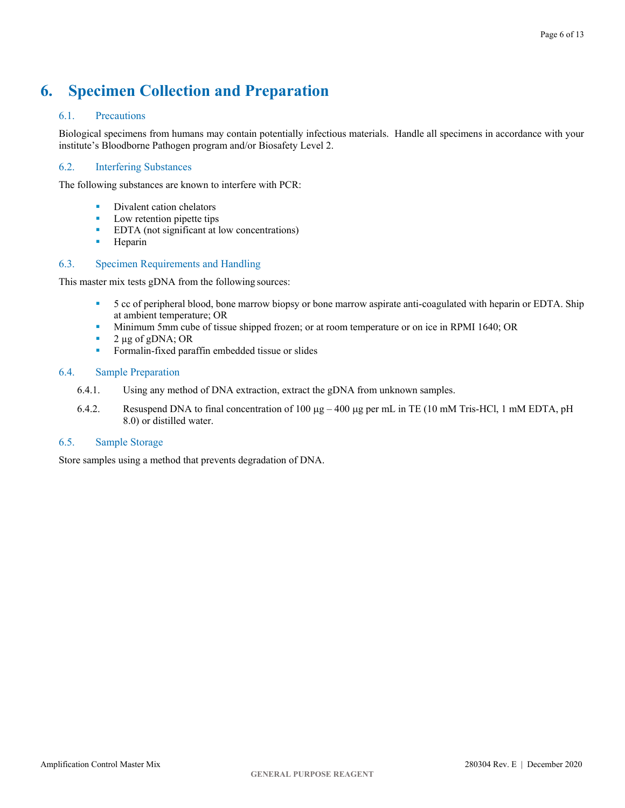## <span id="page-5-0"></span>**6. Specimen Collection and Preparation**

## <span id="page-5-1"></span>6.1. Precautions

Biological specimens from humans may contain potentially infectious materials. Handle all specimens in accordance with your institute's Bloodborne Pathogen program and/or Biosafety Level 2.

## <span id="page-5-2"></span>6.2. Interfering Substances

The following substances are known to interfere with PCR:

- Divalent cation chelators
- **Low retention pipette tips**
- **EDTA** (not significant at low concentrations)
- **Heparin**

## <span id="page-5-3"></span>6.3. Specimen Requirements and Handling

This master mix tests gDNA from the following sources:

- 5 cc of peripheral blood, bone marrow biopsy or bone marrow aspirate anti-coagulated with heparin or EDTA. Ship at ambient temperature; OR
- Minimum 5mm cube of tissue shipped frozen; or at room temperature or on ice in RPMI 1640; OR
- $\blacksquare$  2 µg of gDNA; OR
- **Formalin-fixed paraffin embedded tissue or slides**

### <span id="page-5-4"></span>6.4. Sample Preparation

- 6.4.1. Using any method of DNA extraction, extract the gDNA from unknown samples.
- 6.4.2. Resuspend DNA to final concentration of 100  $\mu$ g 400  $\mu$ g per mL in TE (10 mM Tris-HCl, 1 mM EDTA, pH 8.0) or distilled water.

## <span id="page-5-5"></span>6.5. Sample Storage

Store samples using a method that prevents degradation of DNA.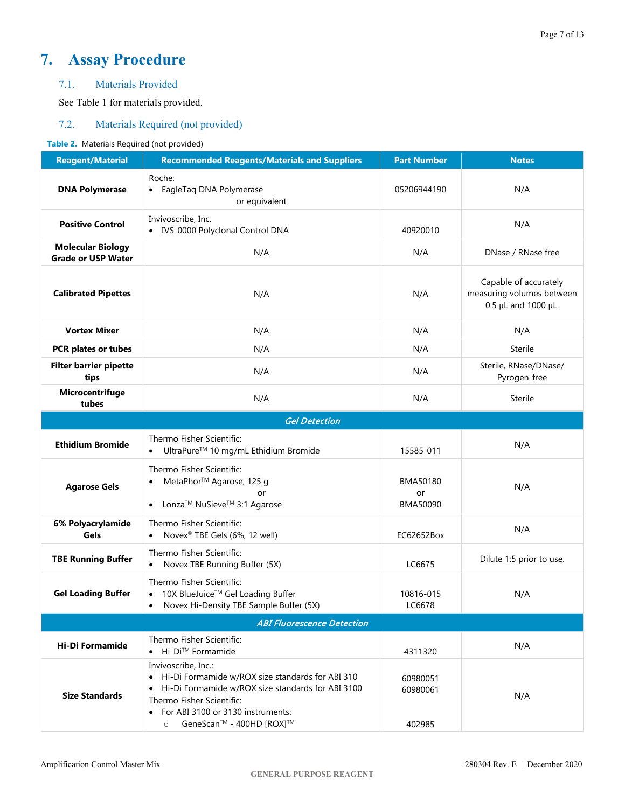## <span id="page-6-0"></span>**7. Assay Procedure**

## <span id="page-6-1"></span>7.1. Materials Provided

See Table 1 for materials provided.

## <span id="page-6-2"></span>7.2. Materials Required (not provided)

### **Table 2.** Materials Required (not provided)

| <b>Reagent/Material</b>                                                                                                        | <b>Recommended Reagents/Materials and Suppliers</b>                                                                                                                                                                                                               | <b>Part Number</b>             | <b>Notes</b>                                                              |  |  |  |  |
|--------------------------------------------------------------------------------------------------------------------------------|-------------------------------------------------------------------------------------------------------------------------------------------------------------------------------------------------------------------------------------------------------------------|--------------------------------|---------------------------------------------------------------------------|--|--|--|--|
| <b>DNA Polymerase</b>                                                                                                          | Roche:<br>• EagleTag DNA Polymerase<br>or equivalent                                                                                                                                                                                                              | 05206944190                    | N/A                                                                       |  |  |  |  |
| <b>Positive Control</b>                                                                                                        | Invivoscribe, Inc.<br>• IVS-0000 Polyclonal Control DNA                                                                                                                                                                                                           | 40920010                       | N/A                                                                       |  |  |  |  |
| <b>Molecular Biology</b><br><b>Grade or USP Water</b>                                                                          | N/A                                                                                                                                                                                                                                                               | N/A                            | DNase / RNase free                                                        |  |  |  |  |
| <b>Calibrated Pipettes</b>                                                                                                     | N/A                                                                                                                                                                                                                                                               | N/A                            | Capable of accurately<br>measuring volumes between<br>0.5 µL and 1000 µL. |  |  |  |  |
| <b>Vortex Mixer</b>                                                                                                            | N/A                                                                                                                                                                                                                                                               | N/A                            | N/A                                                                       |  |  |  |  |
| PCR plates or tubes                                                                                                            | N/A                                                                                                                                                                                                                                                               | N/A                            | Sterile                                                                   |  |  |  |  |
| <b>Filter barrier pipette</b><br>tips                                                                                          | N/A                                                                                                                                                                                                                                                               | N/A                            | Sterile, RNase/DNase/<br>Pyrogen-free                                     |  |  |  |  |
| Microcentrifuge<br>tubes                                                                                                       | N/A                                                                                                                                                                                                                                                               | N/A                            | Sterile                                                                   |  |  |  |  |
|                                                                                                                                | <b>Gel Detection</b>                                                                                                                                                                                                                                              |                                |                                                                           |  |  |  |  |
| <b>Ethidium Bromide</b>                                                                                                        | Thermo Fisher Scientific:<br>UltraPure <sup>™</sup> 10 mg/mL Ethidium Bromide                                                                                                                                                                                     | 15585-011                      | N/A                                                                       |  |  |  |  |
| Thermo Fisher Scientific:<br>MetaPhor™ Agarose, 125 g<br><b>Agarose Gels</b><br>or<br>Lonza™ NuSieve™ 3:1 Agarose<br>$\bullet$ |                                                                                                                                                                                                                                                                   | BMA50180<br>or<br>BMA50090     | N/A                                                                       |  |  |  |  |
| 6% Polyacrylamide<br>Gels                                                                                                      | Thermo Fisher Scientific:<br>Novex <sup>®</sup> TBE Gels (6%, 12 well)                                                                                                                                                                                            | EC62652Box                     | N/A                                                                       |  |  |  |  |
| <b>TBE Running Buffer</b>                                                                                                      | Thermo Fisher Scientific:<br>Novex TBE Running Buffer (5X)<br>$\bullet$                                                                                                                                                                                           | LC6675                         | Dilute 1:5 prior to use.                                                  |  |  |  |  |
| <b>Gel Loading Buffer</b>                                                                                                      | Thermo Fisher Scientific:<br>10X BlueJuice™ Gel Loading Buffer<br>$\bullet$<br>Novex Hi-Density TBE Sample Buffer (5X)<br>٠                                                                                                                                       | 10816-015<br>LC6678            | N/A                                                                       |  |  |  |  |
| <b>ABI Fluorescence Detection</b>                                                                                              |                                                                                                                                                                                                                                                                   |                                |                                                                           |  |  |  |  |
| <b>Hi-Di Formamide</b>                                                                                                         | Thermo Fisher Scientific:<br>● Hi-Di <sup>™</sup> Formamide                                                                                                                                                                                                       | 4311320                        | N/A                                                                       |  |  |  |  |
| <b>Size Standards</b>                                                                                                          | Invivoscribe, Inc.:<br>• Hi-Di Formamide w/ROX size standards for ABI 310<br>Hi-Di Formamide w/ROX size standards for ABI 3100<br>$\bullet$<br>Thermo Fisher Scientific:<br>For ABI 3100 or 3130 instruments:<br>$\bullet$<br>GeneScan™ - 400HD [ROX]™<br>$\circ$ | 60980051<br>60980061<br>402985 | N/A                                                                       |  |  |  |  |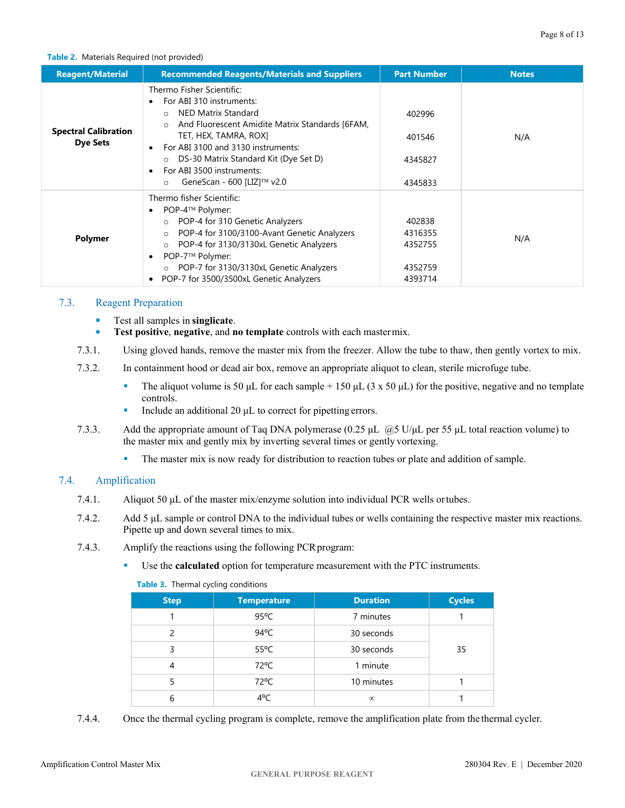### <span id="page-7-2"></span>**Table 2.** Materials Required (not provided)

| <b>Reagent/Material</b>                        | <b>Recommended Reagents/Materials and Suppliers</b>                                                                                                                                                                                                                                                                             | <b>Part Number</b>                                 | <b>Notes</b> |
|------------------------------------------------|---------------------------------------------------------------------------------------------------------------------------------------------------------------------------------------------------------------------------------------------------------------------------------------------------------------------------------|----------------------------------------------------|--------------|
| <b>Spectral Calibration</b><br><b>Dye Sets</b> | Thermo Fisher Scientific:<br>For ABI 310 instruments:<br><b>NED Matrix Standard</b><br>And Fluorescent Amidite Matrix Standards [6FAM,<br>TET, HEX, TAMRA, ROX]<br>For ABI 3100 and 3130 instruments:<br>DS-30 Matrix Standard Kit (Dye Set D)<br>$\circ$<br>For ABI 3500 instruments:<br>GeneScan - 600 [LIZ]™ v2.0<br>$\circ$ | 402996<br>401546<br>4345827<br>4345833             | N/A          |
| <b>Polymer</b>                                 | Thermo fisher Scientific:<br>POP-4™ Polymer:<br>○ POP-4 for 310 Genetic Analyzers<br>POP-4 for 3100/3100-Avant Genetic Analyzers<br>$\circ$<br>POP-4 for 3130/3130xL Genetic Analyzers<br>$\circ$<br>POP-7™ Polymer:<br>○ POP-7 for 3130/3130xL Genetic Analyzers<br>POP-7 for 3500/3500xL Genetic Analyzers                    | 402838<br>4316355<br>4352755<br>4352759<br>4393714 | N/A          |

## <span id="page-7-0"></span>7.3. Reagent Preparation

- Test all samples in **singlicate**.
- **Test positive**, **negative**, and **no template** controls with each mastermix.
- 7.3.1. Using gloved hands, remove the master mix from the freezer. Allow the tube to thaw, then gently vortex to mix.
- 7.3.2. In containment hood or dead air box, remove an appropriate aliquot to clean, sterile microfuge tube.
	- The aliquot volume is 50 μL for each sample + 150 μL (3 x 50 μL) for the positive, negative and no template controls.
	- Include an additional 20 μL to correct for pipetting errors.
- 7.3.3. Add the appropriate amount of Taq DNA polymerase (0.25 μL @5 U/μL per 55 μL total reaction volume) to the master mix and gently mix by inverting several times or gently vortexing.
	- The master mix is now ready for distribution to reaction tubes or plate and addition of sample.

## <span id="page-7-1"></span>7.4. Amplification

- 7.4.1. Aliquot 50 µL of the master mix/enzyme solution into individual PCR wells ortubes.
- 7.4.2. Add 5 μL sample or control DNA to the individual tubes or wells containing the respective master mix reactions. Pipette up and down several times to mix.
- 7.4.3. Amplify the reactions using the following PCR program:
	- Use the **calculated** option for temperature measurement with the PTC instruments.
		- **Table 3.** Thermal cycling conditions

| <b>Step</b>   | <b>Temperature</b> | <b>Duration</b> | <b>Cycles</b> |
|---------------|--------------------|-----------------|---------------|
|               | $95^{\circ}$ C     | 7 minutes       |               |
| $\mathcal{P}$ | $94^{\circ}$ C     | 30 seconds      |               |
|               | $55^{\circ}$ C     | 30 seconds      | 35            |
| 4             | $72^{\circ}$ C     | 1 minute        |               |
|               | $72^{\circ}$ C     | 10 minutes      |               |
| 6             | $4^{\circ}$ C      | $\infty$        |               |

7.4.4. Once the thermal cycling program is complete, remove the amplification plate from the thermal cycler.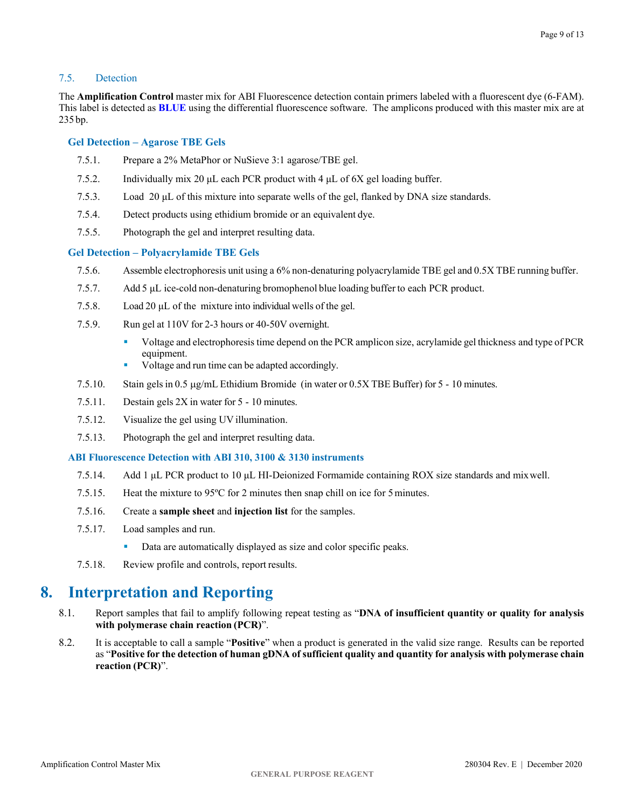### <span id="page-8-0"></span>7.5. Detection

The **Amplification Control** master mix for ABI Fluorescence detection contain primers labeled with a fluorescent dye (6-FAM). This label is detected as **BLUE** using the differential fluorescence software. The amplicons produced with this master mix are at 235 bp.

### **Gel Detection – Agarose TBE Gels**

- 7.5.1. Prepare a 2% MetaPhor or NuSieve 3:1 agarose/TBE gel.
- 7.5.2. Individually mix 20 μL each PCR product with 4 μL of 6X gel loading buffer.
- 7.5.3. Load 20 μL of this mixture into separate wells of the gel, flanked by DNA size standards.
- 7.5.4. Detect products using ethidium bromide or an equivalent dye.
- 7.5.5. Photograph the gel and interpret resulting data.

### **Gel Detection – Polyacrylamide TBE Gels**

- 7.5.6. Assemble electrophoresis unit using a 6% non-denaturing polyacrylamide TBE gel and 0.5X TBE running buffer.
- 7.5.7. Add 5 μL ice-cold non-denaturing bromophenol blue loading buffer to each PCR product.
- 7.5.8. Load 20 μL of the mixture into individual wells of the gel.
- 7.5.9. Run gel at 110V for 2-3 hours or 40-50V overnight.
	- Voltage and electrophoresis time depend on the PCR amplicon size, acrylamide gel thickness and type of PCR equipment.
	- Voltage and run time can be adapted accordingly.
- 7.5.10. Stain gelsin 0.5 µg/mL Ethidium Bromide (in water or 0.5X TBE Buffer) for 5 10 minutes.
- 7.5.11. Destain gels 2X in water for 5 10 minutes.
- 7.5.12. Visualize the gel using UV illumination.
- 7.5.13. Photograph the gel and interpret resulting data.

### **ABI Fluorescence Detection with ABI 310, 3100 & 3130 instruments**

- 7.5.14. Add 1 μL PCR product to 10 μL HI-Deionized Formamide containing ROX size standards and mixwell.
- 7.5.15. Heat the mixture to 95ºC for 2 minutes then snap chill on ice for 5minutes.
- 7.5.16. Create a **sample sheet** and **injection list** for the samples.
- 7.5.17. Load samples and run.
	- Data are automatically displayed as size and color specific peaks.
- 7.5.18. Review profile and controls, report results.

## <span id="page-8-1"></span>**8. Interpretation and Reporting**

- 8.1. Report samples that fail to amplify following repeat testing as "**DNA of insufficient quantity or quality for analysis with polymerase chain reaction (PCR)**".
- 8.2. It is acceptable to call a sample "**Positive**" when a product is generated in the valid size range. Results can be reported as "**Positive for the detection of human gDNA of sufficient quality and quantity for analysis with polymerase chain reaction (PCR)**".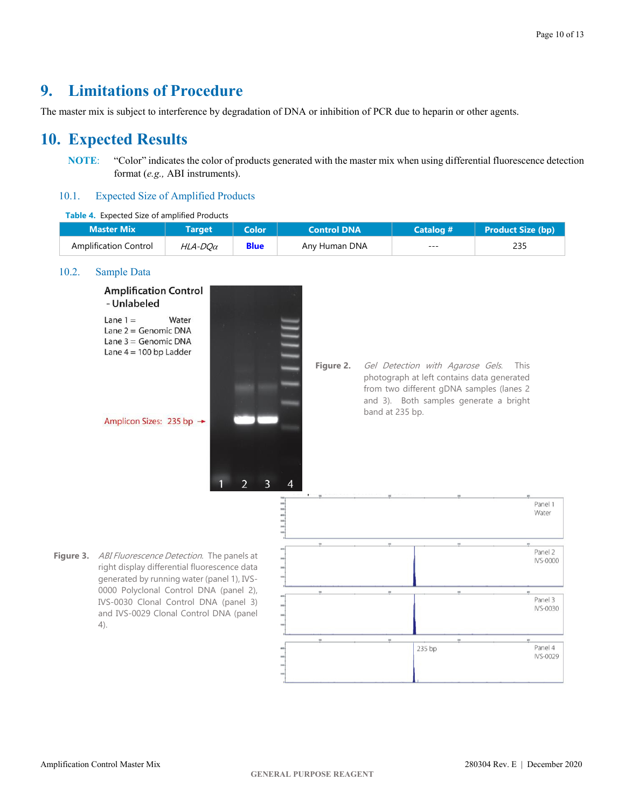## <span id="page-9-0"></span>**9. Limitations of Procedure**

The master mix is subject to interference by degradation of DNA or inhibition of PCR due to heparin or other agents.

## <span id="page-9-1"></span>**10. Expected Results**

**NOTE**: "Color" indicates the color of products generated with the master mix when using differential fluorescence detection format (*e.g.,* ABI instruments).

## <span id="page-9-2"></span>10.1. Expected Size of Amplified Products

### **Table 4.** Expected Size of amplified Products

| <b>Master Mix</b>            | Target         | <b>Color</b> | <b>Control DNA</b> | Catalog # | Product Size (bp) |
|------------------------------|----------------|--------------|--------------------|-----------|-------------------|
| <b>Amplification Control</b> | $HLA-DO\alpha$ | <b>Blue</b>  | Any Human DNA      | ---       | 235               |

### <span id="page-9-3"></span>10.2. Sample Data

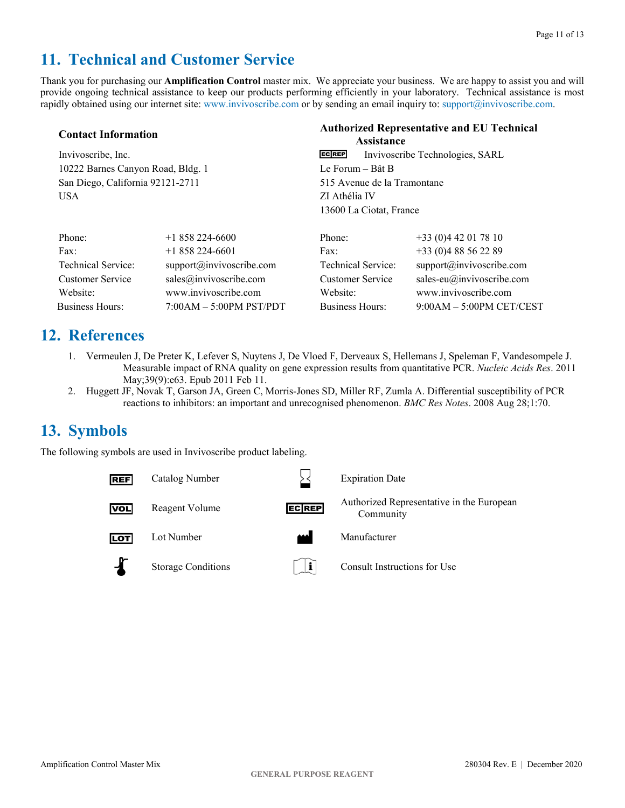## <span id="page-10-0"></span>**11. Technical and Customer Service**

Thank you for purchasing our **Amplification Control** master mix. We appreciate your business. We are happy to assist you and will provide ongoing technical assistance to keep our products performing efficiently in your laboratory. Technical assistance is most rapidly obtained using our internet site[: www.invivoscribe.com](http://www.invivoscribe.com/) or by sending an email inquiry to: [support@invivoscribe.com.](mailto:support@invivoscribe.com)

| <b>Contact Information</b>        | <b>Authorized Representative and EU Technical</b><br><b>Assistance</b> |                             |                         |                                 |
|-----------------------------------|------------------------------------------------------------------------|-----------------------------|-------------------------|---------------------------------|
| Invivoscribe, Inc.                |                                                                        | <b>ECREP</b>                |                         | Invivoscribe Technologies, SARL |
| 10222 Barnes Canyon Road, Bldg. 1 |                                                                        | Le Forum – Bât B            |                         |                                 |
| San Diego, California 92121-2711  |                                                                        | 515 Avenue de la Tramontane |                         |                                 |
| <b>USA</b>                        |                                                                        | ZI Athélia IV               |                         |                                 |
|                                   |                                                                        |                             | 13600 La Ciotat, France |                                 |
| Phone:                            | $+1858224-6600$                                                        | Phone:                      |                         | $+33(0)442017810$               |
| Fax:                              | $+1858224-6601$                                                        | $\text{Fax}:$               |                         | $+33(0)488562289$               |
| Technical Service:                | support@invivoscribe.com                                               |                             | Technical Service:      | support@invivoscribe.com        |
| <b>Customer Service</b>           | sales@invivoscribe.com                                                 | <b>Customer Service</b>     |                         | sales-eu $@$ invivoscribe.com   |
| Website:                          | www.invivoscribe.com                                                   | Website:                    |                         | www.invivoscribe.com            |
| <b>Business Hours:</b>            | $7:00AM - 5:00PM$ PST/PDT                                              | <b>Business Hours:</b>      |                         | $9:00AM - 5:00PM$ CET/CEST      |

## <span id="page-10-1"></span>**12. References**

- 1. Vermeulen J, De Preter K, Lefever S, Nuytens J, De Vloed F, Derveaux S, Hellemans J, Speleman F, Vandesompele J. Measurable impact of RNA quality on gene expression results from quantitative PCR. *Nucleic Acids Res*. 2011 May;39(9):e63. Epub 2011 Feb 11.
- 2. Huggett JF, Novak T, Garson JA, Green C, Morris-Jones SD, Miller RF, Zumla A. Differential susceptibility of PCR reactions to inhibitors: an important and unrecognised phenomenon. *BMC Res Notes*. 2008 Aug 28;1:70.

## <span id="page-10-2"></span>**13. Symbols**

The following symbols are used in Invivoscribe product labeling.

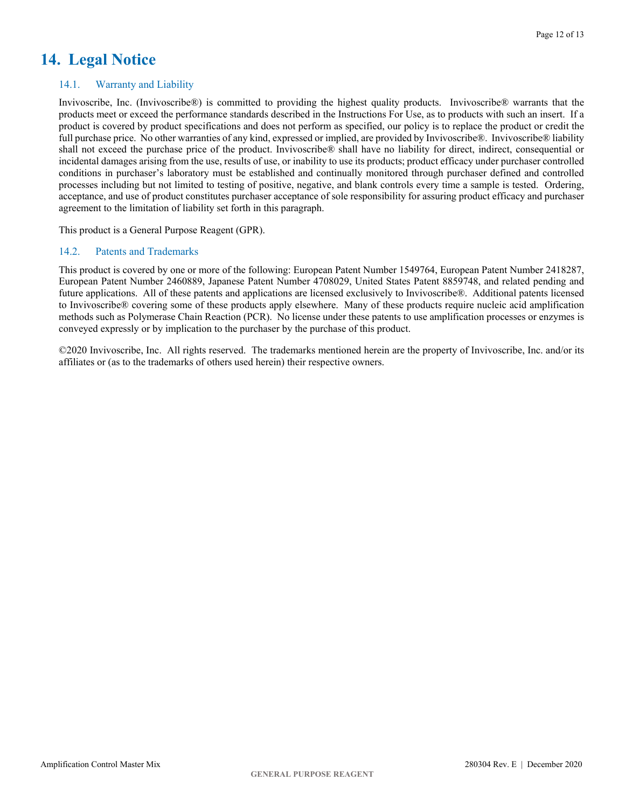## <span id="page-11-0"></span>**14. Legal Notice**

## <span id="page-11-1"></span>14.1. Warranty and Liability

Invivoscribe, Inc. (Invivoscribe®) is committed to providing the highest quality products. Invivoscribe® warrants that the products meet or exceed the performance standards described in the Instructions For Use, as to products with such an insert. If a product is covered by product specifications and does not perform as specified, our policy is to replace the product or credit the full purchase price. No other warranties of any kind, expressed or implied, are provided by Invivoscribe®. Invivoscribe® liability shall not exceed the purchase price of the product. Invivoscribe® shall have no liability for direct, indirect, consequential or incidental damages arising from the use, results of use, or inability to use its products; product efficacy under purchaser controlled conditions in purchaser's laboratory must be established and continually monitored through purchaser defined and controlled processes including but not limited to testing of positive, negative, and blank controls every time a sample is tested. Ordering, acceptance, and use of product constitutes purchaser acceptance of sole responsibility for assuring product efficacy and purchaser agreement to the limitation of liability set forth in this paragraph.

This product is a General Purpose Reagent (GPR).

### <span id="page-11-2"></span>14.2. Patents and Trademarks

This product is covered by one or more of the following: European Patent Number 1549764, European Patent Number 2418287, European Patent Number 2460889, Japanese Patent Number 4708029, United States Patent 8859748, and related pending and future applications. All of these patents and applications are licensed exclusively to Invivoscribe®. Additional patents licensed to Invivoscribe® covering some of these products apply elsewhere. Many of these products require nucleic acid amplification methods such as Polymerase Chain Reaction (PCR). No license under these patents to use amplification processes or enzymes is conveyed expressly or by implication to the purchaser by the purchase of this product.

©2020 Invivoscribe, Inc. All rights reserved. The trademarks mentioned herein are the property of Invivoscribe, Inc. and/or its affiliates or (as to the trademarks of others used herein) their respective owners.